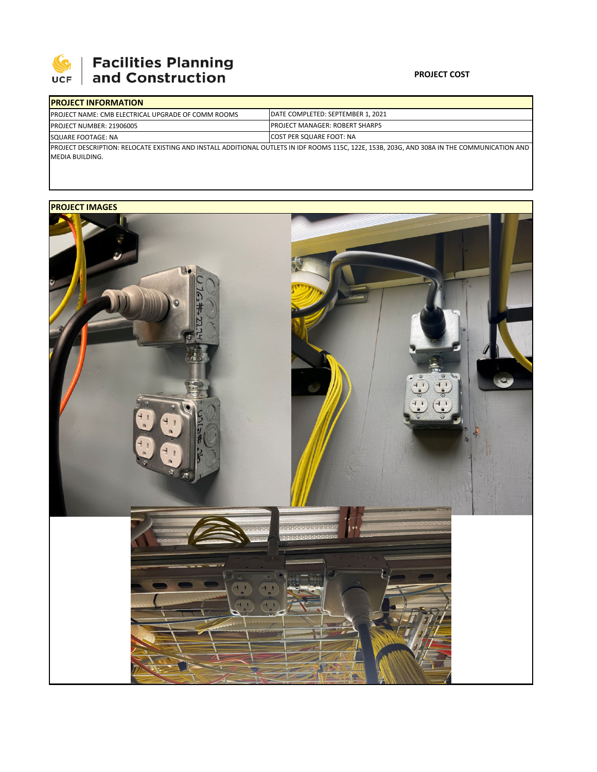

## **Facilities Planning<br>and Construction**

## **PROJECT COST**

|                                                       | <b>IPROJECT INFORMATION</b>                                |                                                                            |  |  |
|-------------------------------------------------------|------------------------------------------------------------|----------------------------------------------------------------------------|--|--|
|                                                       | <b>IPROJECT NAME: CMB ELECTRICAL UPGRADE OF COMM ROOMS</b> | DATE COMPLETED: SEPTEMBER 1, 2021                                          |  |  |
| <b>PROJECT NUMBER: 21906005</b><br>SQUARE FOOTAGE: NA |                                                            | <b>IPROJECT MANAGER: ROBERT SHARPS</b><br><b>ICOST PER SQUARE FOOT: NA</b> |  |  |
|                                                       |                                                            |                                                                            |  |  |

MEDIA BUILDING.